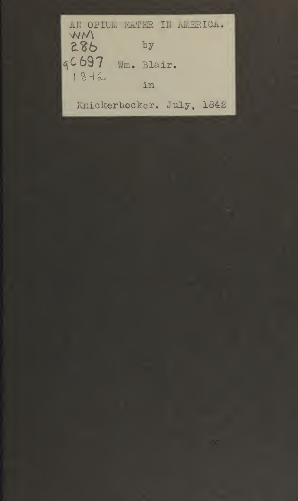| AN OPIUL EATER IN ALERICA. |                           |  |  |
|----------------------------|---------------------------|--|--|
| <b>WM</b><br>286           | $b\bar{y}$                |  |  |
| 96697                      | Mm. Blair.                |  |  |
| 1842                       | in                        |  |  |
|                            | Knickerbocker. July, 1842 |  |  |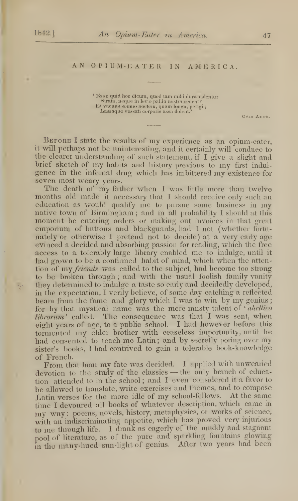$\frac{1}{2}$ 

## AN OPIUM-EATER IN AMERICA.

' Esse quid hoc dicum, quod lam mini dura \ idenlur Strata, neque in lecto pallia nostra sedent? Et vacuus somno noctem, quam longa, perigi;<br>Lassaque vessati corporis assa dolent.'

Ovid AMOR.

BEFORE I state the results of my experience as an opium-cater, it will perhaps not be uninteresting, and it certainly will conduce to the clearer understanding of such statement, if <sup>I</sup> give a slight and brief sketch of my habits and history previous to my first indul- gence in the infernal drug which has imbittered my existence for seven most weary years.

The death of my father when <sup>I</sup> was little more than twelve months old made it necessary that I should receive only such an education as would qualify me to pursue some business in my native town of Birmingham; and in all probability <sup>I</sup> should at this moment be entering orders or making out invoices in that great emporium of buttons and blackguards, had <sup>I</sup> not (whether fortu nately or otherwise I pretend not to decide) at a very early age evinced a decided and absorbing passion for reading, which the free access to a tolerably large library enabled me to indulge, until it had grown to be a confirmed habit of mind, which when the attention of my *friends* was called to the subject, had become too strong to be broken through ; and with the usual foolish family vanity they determined to indulge a taste so early and decidedly developed, in the expectation, <sup>I</sup> verily believe, of some day catching a reflected beam from the fame and glory which I was to win by my genius; for by that mystical name was the mere musty talent of ' ahellico librorum' called. The consequence was that I was sent, when eight years of age, to a public school. <sup>I</sup> had however before this tormented my elder brother with ceaseless importunity, until he had consented to teach me Latin ; and by secretly poring over my sister's books, <sup>I</sup> had contrived to gain a tolerable book-knowledge of French.

From that hour my fate was decided. <sup>I</sup> applied with unwearied devotion to the study of the classics - the only branch of education attended to in the school ; and <sup>I</sup> even considered it a favor to be allowed to translate, write exercises and themes, and to compose Latin verses for the more idle of my school-fellows. At the same time I devoured all books of whatever description, which came in my way : poems, novels, history, metaphysics, or works of science, with an indiscriminating appetite, which has proved very injurious to me through life. <sup>I</sup> drank as eagerly of the muddy and stagnant pool of literature, as of the pure and sparkling fountains glowing in the many-hued sun-light of genius. After two years had been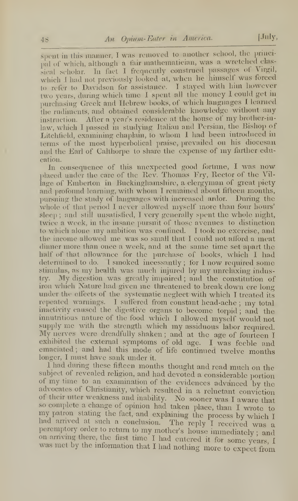spent in this manner, <sup>J</sup> was removed to another school, the principal of which, although <sup>a</sup> fair mathematician, was <sup>a</sup> wretched classical scholar. In fact I frequently construed passages of Virgil, which <sup>L</sup> had not previously looked at, when he himself was forced to refer to Davidson for assistance. <sup>1</sup> stayed with him however two years, during which time I spent all the money I could get in purchasing Greek and Hebrew hooks, of which languages <sup>I</sup> learned the rudiments, and obtained considerable knowledge without any instruction. After a year's residence at the house of my brother-inlaw, which I passed in studying Italian and Persian, the Bishop of Litchfield, examining chaplain, to whom I had been introduced in terms of the most hyperbolical praise, prevailed on his diocesan and the Earl of Calthorpe to share the expense of my farther education.

In consequence of this unexpected good fortune, <sup>I</sup> was now placed under the care of the Rev. Thomas Fry, Rector of the Vil lage of Emberton in Buckinghamshire, <sup>a</sup> clergyman of great piety and profound learning, with whom <sup>J</sup> remained about fifteen months, pursuing the study of languages with increased ardor. During the whole of that period I never allowed myself more than four hours' sleep: and still unsatisfied, <sup>I</sup> very generally spent the whole night, twice a week, in the insane pursuit of those avenues to distinction to which alone my ambition was confined. <sup>I</sup> took no exercise, and the income allowed me was so small that <sup>I</sup> could not afford <sup>a</sup> meat. dinner more than once <sup>a</sup> week, and at the same time set apart the half of that allowance for the purchase of books, which I had determined to do. <sup>I</sup> smoked incessantly ; for <sup>I</sup> now required some stimulus, as my health was much injured by my unrelaxing indus-My digestion was greatly impaired; and the constitution of iron which Nature had given me threatened to break down ere long under the effects of the systematic neglect with which <sup>I</sup> treated its repeated warnings. <sup>I</sup> suffered from constant head-ache ; my total inactivity caused the digestive organs to become torpid; and the innutritions nature of the food which <sup>I</sup> allowed myself would not supply me with the strength which my assiduous labor required. My nerves were dreadfully shaken ; and at the age of fourteen <sup>I</sup> exhibited the external symptoms of old age. <sup>I</sup> was feeble and emaciated; and had this mode of life continued twelve months longer, <sup>I</sup> must have sank under it.

I had during these fifteen months thought and read much on the subject of revealed religion, and had devoted a considerable portion of my time to an examination of the evidences advanced by the advocates of Christianity, which resulted in <sup>a</sup> reluctant conviction of their utter weakness and inability. No sooner was I aware that so complete a change of opinion had taken place, than I wrote to my patron stating the fact, and explaining the process by which I had arrived at such a conclusion. The reply I received was a peremptory order to return to my mother's house immediately ; and on arriving there, the first time I had entered it for some years, I was met by the information that I had nothing more to expect from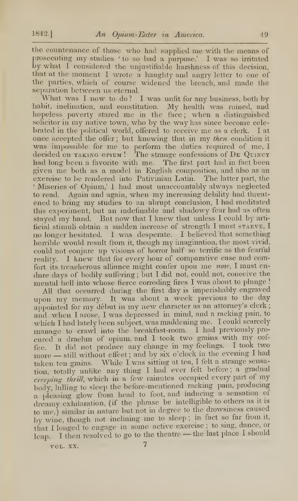the countenance of those who had supplied me with the means of prosecuting my studies ' to so bad <sup>a</sup> purpose.' <sup>I</sup> was so irritated by what <sup>I</sup> considered the unjustifiable harshness of this decision, that at the moment I wrote a haughty and angry letter to one of the parties, which of course widened the breach, and made the

What was I now to do? I was unfit for any business, both by habit, inclination, and constitution. My health was ruined, and hopeless poverty stared me in the face ; when a distinguished solicitor in my native town, who by the way has since become cele brated in the political world, offered to receive me as <sup>a</sup> clerk. <sup>I</sup> at once accepted the offer; but knowing that in my then condition it was impossible for me to perform the duties required of me, <sup>I</sup> decided on TAKING OPIUM! The strange confessions of DE QUINCY had long been a favorite with me. The first part had in fact been given me both as a model in English composition, and also as an exercise to be rendered into Pativinian Latin. The latter part, the ' Miseries of Opium,' <sup>I</sup> had most unaccountably always neglected to read. Again and again, when my increasing debility had threat ened to bring my studies to an abrupt conclusion, <sup>I</sup> had meditated this experiment, but an indefinable and shadowy fear had as often stayed my hand. But now that <sup>I</sup> knew that unless <sup>I</sup> could by arti ficial stimuli obtain a sudden increase of strength I must starve, I no longer hesitated. <sup>I</sup> was desperate. <sup>I</sup> believed that something horrible would result from it, though my imagination, the most vivid, could not conjure up visions of horror half so terrific as the fearful reality. <sup>I</sup> knew that for every hour of comparative ease and comfort its treacherous alliance might confer upon me now, I must endure days of bodily suffering ; but <sup>I</sup> did not, could not, conceive the mental hell into whose fierce corroding fires <sup>I</sup> was about to plunge !

All that occurred during the first day is imperishably engraved upon my memory. It was about <sup>a</sup> week previous to the day appointed for my début in my new character as an attorney's clerk; and when <sup>I</sup> arose, <sup>I</sup> was depressed in mind, and a racking pain, to which <sup>I</sup>had lately been subject, was maddening me. <sup>I</sup> could scarcely manage to crawl into the breakfast-room. <sup>I</sup> had previously pro cured <sup>a</sup> drachm of opium, and <sup>I</sup> took two grains with my cof fee. It did not produce any change in my feelings. <sup>I</sup> took two more — still without effect ; and by six o'clock in the evening <sup>I</sup> had taken ten grains. "While <sup>I</sup> was sitting at tea, <sup>I</sup> felt a strange sensation, totally unlike any thing <sup>I</sup> had ever felt before; <sup>a</sup> gradual creeping thriM, which in <sup>a</sup> few minutes occupied every part of my body, lulling to sleep the before-mentioned racking pain, producing <sup>a</sup> pleasing glow from head to foot, and inducing <sup>a</sup> sensation of dreamy exhilaration, (if the phrase be intelligible to others as it is to me,) similar in nature but not in degree to the drowsiness caused by wine, though not inclining me to sleep ; in fact so far from it, that <sup>I</sup> longed to engage in some active exercise ; to sing, dance, or leap. I then resolved to go to the theatre — the last place I should

VOL. XX. 7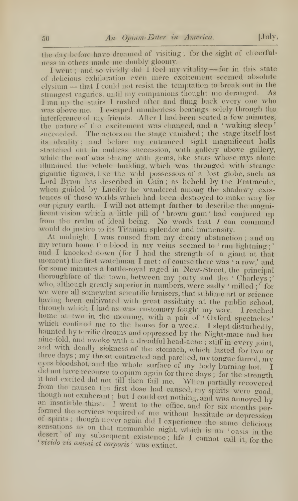the day before have dreamed of visiting; for the sight of cheerfulness iii others made me doubly gloomy.

<sup>I</sup> went; and so vividly did <sup>1</sup> feel my vitality — for in this state of delicious exhilaration even mere excitement seemed absolute elysium - that I could not resist the temptation to break out in the strangest vagaries, until my companions thought me deranged. As <sup>I</sup> ran up the stairs <sup>I</sup> rushed after and flung back every one who was above me. <sup>I</sup> escaped numberless beatings solely through the interference of my friends. After I had been seated a few minutes, the nature of the excitement was changed, and <sup>a</sup> ' waking sleep succeeded. The actors on the stage vanished ; the stage'itself lost its ideality; and before my entranced sight magnificent halls stretched ont in endless succession, with gallery above gallery, while the roof was blazing with gems, like stars whose rays alone illumined the whole building, which was thronged with strange gigantic figures, like the wild possessors of a lost globe, such as Lord Byron has described in Cain; as beheld by the Fratracide, when guided by Lucifer he wandered among the shadowy existences of those worlds which had been destroyed to make way for our pigmy earth. I will not attempt farther to describe the magnificent vision which a little pill of 'brown gum' had conjured up from the realm of ideal being. No words that  $I$  can command

would do justice to its Titanian splendor and immensity.<br>At midnight I was roused from my dreary abstraction; and on my return home the blood in my veins seemed to 'run lightning;' and <sup>I</sup> knocked down (for <sup>I</sup> had the strength of <sup>a</sup> giant at that moment) the first watchman <sup>I</sup>met : of course there was 'a row,' and for some minutes a battle-royal raged in New-Street, the principal thoroughfare of the town, between my party and the 'Charleys;'<br>who, although greatly superior in numbers, were sadly 'milled;' for we were all somewhat scientific bruisers, that sublime art or science having been cultivated with great assiduity at the public school, through which I had as was customary fought my way. I reached home at two in the morning, with a pair of 'Oxford spectacles' which confined me to the house for a week. I slept disturbedly, haunted by terrific dreams and oppressed by the Night-mare and her nine-fold, and awoke with a dreadful head-ache; stiff in every joint, and with deadly siekness of the stomach, which lasted for two or<br>three days; my throat contracted and parched, my tongue furred, my<br>eyes bloodshot, and the whole surface of my body burning hot. I<br>did not have recourse to o from the nausea the first dose had caused, my spirits were good, though not exuberant ; but I could eat nothing, and was annoyed by an insatiable thirst. I went to the office, and for six months performed the services required of me without lassitude or depression<br>of spirits; though never again did I experience the same delicious an insatiable thirst. I went to the office, and for six months performed the services required of me without lassitude or depression<br>of spirits; though never again did I experience the same delicious<br>sensations as on that desert' of my subsequent existence; life I cannot call it, for the *vivido vis animi et corporis* ' was extinct. ' vivido vis animi et corporis' was extinct.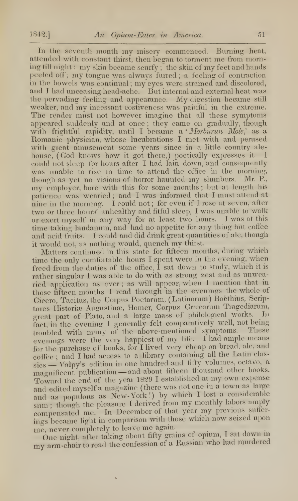In the seventh month my misery commenced. Burning heat, attended with constant thirst, then hegan to torment me from morning till night : my skin became scurfy ; the skin of my feet andhands peeled off; my tongue was always furred ; <sup>a</sup> feeling of contraction in the bowels was continual ; my eyes were strained and discolored, and <sup>I</sup> had unceasing head-ache. But internal and external heat was the pervading feeling and appearance. My digestion became still weaker, and my incessant costiveness was painful in the extreme. The reader must not however imagine that all these symptoms appeared suddenly and at once; they came on gradually, though with frightful rapidity, until I became a Morburun Mole, as a Romanie physician, whose lucubrations <sup>I</sup> met with and perused with great amusement some years since in a little country ale house, (God knows how it got there,) poetically expresses it. I could not sleep for hours after <sup>I</sup> had lain down, and consequently was unable to rise in time to attend the office in the morning, though as yet no visions of horror haunted my shumbers. Mr. P., iny employer, bore with this for some months; but at length his patience was wearied; and I was informed that I must attend at nine in the morning. <sup>I</sup> could not ; for even if <sup>I</sup> rose at seven, after two or three hours' unhealthy and fitful sleep, <sup>I</sup> was unable to walk or exert myself in any way for at least two hours. <sup>I</sup> was at this time taking laudanum, and had no appetite for any thing but coffee and acid fruits. <sup>I</sup> could and did drink great quantities of ale, though it would not, as nothing would, quench my thirst.

Matters continued in this state for fifteen months, during which time the only comfortable hours <sup>I</sup> spent were in the evening, when freed from the duties of the office, <sup>I</sup> sat down to study, which it is rather singular <sup>I</sup> was able to do with as strong zest and as unwearied application as ever; as will appear, when <sup>I</sup> mention that in those fifteen months <sup>I</sup> read through in the evenings the whole of Cicero, Tacitus, the Corpus Poetarum, (Latinorum) Boethius, Scrip tores Historice Augustine, Homer, Corpus Greearum Tragediarum, great part of Plato, and a large mass of philological works. fact, in the evening I generally felt comparatively well, not being<br>troubled with many of the above-mentioned symptoms. These troubled with many of the above-mentioned symptoms. evenings were the' very happiest of my hfe. <sup>I</sup> had ample means for the purchase of books, for <sup>I</sup> lived very cheap on bread, ale, and coffee ; and <sup>I</sup> had access to <sup>a</sup> library containing all the Latin clas sics - Valpy's edition in one hundred and fifty volumes, octavo, a magnificent publication —and about fifteen thousand other books. Toward the end of the year <sup>1829</sup> <sup>I</sup> established at my own expense and edited myself <sup>a</sup> magazine (there was not one in <sup>a</sup> town as large and as populous as New-York!) by winch <sup>I</sup> lost <sup>a</sup> considerable sum; though the pleasure I derived from my monthly labors amply compensated me. In December of that year my previous suffer ings became light in comparison with those which now seized upon

me, never completely to leave me again. my arm-chair to read the confession of a Russian who had murdered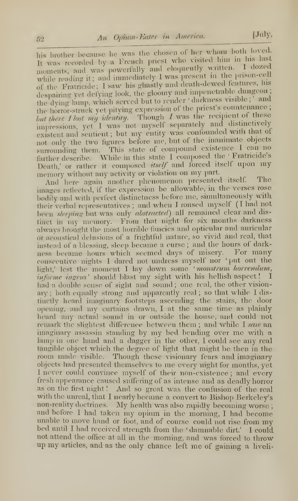his brother because he was the chosen of her whom both loved. It was recorded by a French priest who visited him in his last moments, and was powerfully and eloquently written. <sup>1</sup> dozed while reading it; and immediately I was present in the prison-cell of the Fratricide; <sup>I</sup> saw Ins ghastly and death-dewed features, ins despairing yet defying look, the gloomy and impenetrable dungeon; the dying lamp, which served but to render 'darkness visible;' and the horror-struck yet pitying expression of the priest's countenance;<br>but there  $I$  lost my identity. Though  $I$  was the recipient of these Though  $I$  was the recipient of these impressions, yet <sup>1</sup> was not myself separately and distinctively existent and sentient; but my entity was confounded with that of not only the two figures before me, but of the inanimate objects surrounding them. This state of compound existence <sup>I</sup> can no farther describe. While in this state <sup>I</sup> composed the ' Fratricide's Death,' or rather it composed *itself* and forced itself upon my memory without any activity or violation on my part.

And here again another phenomenon presented itself. The images reflected, if the expression be allowable, in the verses rose bodily and with perfeel distinctness before me, simultaneously with their verbal representatives; and when <sup>I</sup> roused myself (I had not been sleeping but was only abstracted) all remained clear and distinct in my memory. From that night for six months darkness always brought the most horrible fancies and opticular and auricular or acoustical delusions of <sup>a</sup> frightful nature, so vivid and real, that instead of <sup>a</sup> blessing, sleep became a curse; and the hours of darkness became hours which seemed days of misery. For many consecutive nights <sup>J</sup> dared not undress myself nor 'put out the light,' lest the moment I lay down some 'monstrum horrendum, informe ingeus' should blast my sight with his hellish aspect ! <sup>I</sup> had a double sense of sight and sound; one real, the other visionary: both equally strong and apparently real; so that while I distinctly heard imaginary footsteps ascending the stairs, the door opening, and my curtains drawn, <sup>I</sup> at the same time as plainly heard any actual sound in or outside the house, and could not remark the slightest difference between them; and while I saw an imaginary assassin standing by my bed bending over me with a lamp in one hand and a dagger in the other, I could see any real tangible object which the degree of light that might be then in the room made visible. Though these visionary fears and imaginary objects had presented themselves to me every night for months, yet I never could convince myself of their non-existence; and every fresh appearance caused suffering of as intense and as deadly horror as on the first night! And so great was the confusion of the real with the unreal, that <sup>I</sup> nearly became a convert to Bishop Berkeley's non-reality doctrines. My health was also rapidly becoming worse ; and before <sup>I</sup> had taken my opium in the morning, <sup>I</sup> had become unable to move hand or foot, and of course could not rise from my bed until <sup>I</sup> had received strength from the ' damnable dirt' <sup>I</sup> could not attend the office at all in the morning, and was forced to throw up my articles, and as the only chance left me of gaining <sup>a</sup> livcli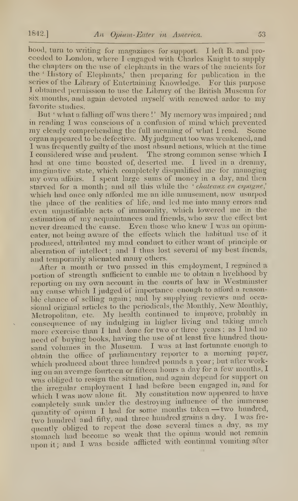hood, turn to writing for magazines for support. <sup>I</sup> left B. and pro ceeded to London, where <sup>I</sup> engaged with Charles Knight to supply the chapters on the use of elephants in the wars of the ancients for the ' History of Elephants,' then preparing for publication in the scries of the Library of Entertaining Knowledge. For this purpose <sup>I</sup> obtained permission to use the Library of the British Museum for six months, and again devoted myself with renewed ardor to my favorite studies.

But 'what a falling off was there!' My memory was impaired; and in reading <sup>I</sup> was conscious of a confusion of mind which prevented my clearly comprehending the full meaning of what <sup>I</sup> read. Some organ appeared to be defective. Myjudgment too was weakened, and <sup>I</sup> was frequently guilty of the most absurd actions, which at the time <sup>I</sup> considered wise and prudent. The strong common sense which <sup>I</sup> had at one time boasted of, deserted me. <sup>I</sup> lived in a dreamy, imaginative state, which completely disqualified me for managing my own affairs. <sup>I</sup> spent large sums of money in <sup>a</sup> day, and then starved for a month; and all this while the ' chateaux en espagne,' which had once only afforded me an idle amusement, now usurped the place of the realities of life, and led me into many errors and even unjustifiable acts of immorality, which lowered me in the estimation of my acquaintances and friends, who saw the effect but never dreamed the cause. Even those who knew <sup>I</sup> was an opiumeater, not being aware of the effects which the habitual use of it produced, attributed my mad conduct to either want of principle or aberration of intellect; and <sup>I</sup> thus lost several of my best friends, and temporarily alienated many others.

After a month or two passed in this employment, <sup>I</sup> regained a portion of strength sufficient to enable me to obtain <sup>a</sup> livelihood by reporting on my own account in the courts of law in Westminster any cause which I judged of importance enough to afford a reasonble chance of selling again; and by supplying reviews and occasional original articles to the periodicals, the Monthly, New Monthly, Metropolitan, etc. My health continued to improve, probably in consequence of my indulging in higher living and taking much more exercise than <sup>I</sup> had done for two or three years ; as <sup>I</sup> had no need of buying books, having the use of at least five hundred thou sand volumes in the Museum. <sup>I</sup> was at last fortunate enough to obtain the office of parliamentary reporter to <sup>a</sup> morning paper, which produced about three hundred pounds a year; but after working on an average fourteen or fifteen hours a day for a few months, I was obliged to resign the situation, and again depend for support on the irregular employment <sup>I</sup> had before been engaged in, and for which I was now alone fit. My constitution now appeared to have completely sunk under the destroying influence of the immense quantity of opium <sup>I</sup> had for some months taken —two hundred, two hundred and fiftv, and three hundred grams <sup>a</sup> day. <sup>I</sup> was fre quently obliged to repeat the dose several times a day, as my stomach had become so weak that the opium would not remain upon it; and I was beside afflicted with continual vomiting after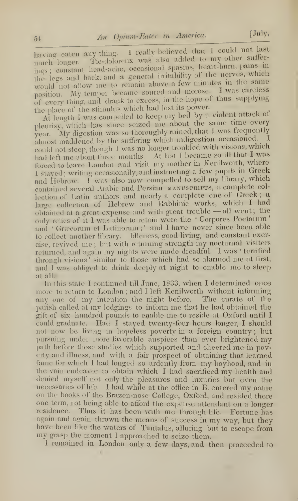having eaten any thing. I really believed that I could not last<br>much longer. Tic-doloreux was also added to my other sufferhaving eaten any thing. ings; constant head-ache, occasional spasms, heart-burn, pains in the legs and back, and a general irritability of the nerves, which would not allow me to remain above <sup>a</sup> fewminutes in the same position. My temper became soured and morose. I was careless of every thing, and drank to excess, in the hope of thus supplying the place of the stimulus which had lost its power.

\t length <sup>I</sup> was compelled to keep my bed by <sup>a</sup> violent attack ot pleurisy, which has since seized me about the same time every year. My digestion was so thoroughly ruined, that I was frequently ahnost maddened by the suffering which indigestion occasioned. I could not sleep, though <sup>1</sup> was uo longer troubled with visions, which had left me about three months. At last I became so ill that I was forced to leave London and visit my mother in Kenilworth, where ped; writing occasionally, and instructing <sup>a</sup> few pupils in Greek and Hebrew. <sup>I</sup> was also now compelled to sell my library, which Contained several Arabic and Persian MANUSCRIPTS, a complete col lection of Latin authors, and nearly a complete one of Greek; a large collection of Hebrew and Rabbinic works, which I had obtained at a great expense and with great trouble - all went; the only relics of it <sup>1</sup> was able to retain were the ' Corporcs Poetarum' and ' Graecorum et Latinorum;' and I have never since been able to colled another library. Idleness, good living, and constant exercise, revived me; but with returning strength my nocturnal visiters returned, and again my nights were made dreadful. <sup>I</sup> was 'terrified through visions ' similar to those which had so alarmed me at first, and I was obliged to drink deeply at night to enable me to sleep at all.

In this state <sup>I</sup> continued till June, 1833, when <sup>I</sup> determined once more to return to London ; and <sup>I</sup> left Kenilworth without informing any one of my intention the night before. The curate of the parish called at my lodgings to inform me that he had obtained the gift of six hundred pounds to enable me to reside at Oxford until I could graduate. Had <sup>I</sup> stayed twenty-four hours longer, <sup>I</sup> should not now be living in hopeless poverty in a foreign country; but pursuing under more favorable auspices than ever brightened my path before those studies which supported and cheered me in poverty and illness, and with a fair prospect of obtaining that learned fame for which I had longed so ardently from my boyhood, and in <sup>1</sup> he vain endeavor to obtain which <sup>I</sup> had sacrificed my health and denied myself not only the pleasures and luxuries but even the necessaries of life. <sup>I</sup> had while at the office in B. entered my name on the books of the Brazen-nose College, Oxford, and resided there one term, not being able to afford the expense attendant on a longer residence. Thus it has been with me through life. Fortune has again and again thrown the means of success in my way, but they have been like the waters of Tantalus, alluring but to escape from my grasp the moment <sup>I</sup> approached to seize them.

<sup>I</sup> remained in London only a few days, and then proceeded to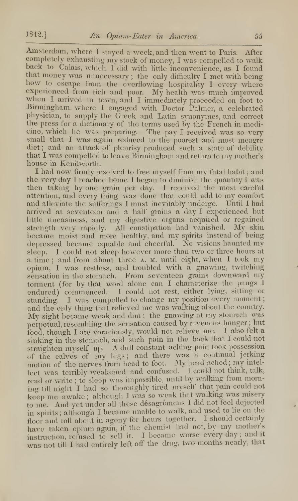Amsterdam, where <sup>I</sup>stayed <sup>a</sup> week, and then went to Paris. After completely exhausting my stock of money, <sup>I</sup> was compelled to walk back to Calais, which I did with little inconvenience, as I found that money was unnecessary ; the only difficulty <sup>I</sup> met with being how to escape from the overflowing hospitality <sup>I</sup> every where experienced from rich and poor. My health was much improved when <sup>I</sup> arrived in town, and <sup>I</sup> immediately proceeded on foot to Birmingham, where <sup>I</sup> engaged with Doctor Palmer, <sup>a</sup> celebrated physician, to supply the Greek and Latin synonymes, and correct the press for a dictionary of the terms used by the French in medicine, which he was preparing. The pay I received was so very small that I was again reduced to the poorest and most meagre diet ; and an attack of pleurisy produced such a state of debility that <sup>I</sup> was compelled to leave Birmingham and return to my mother's house in Kenilworth.

<sup>I</sup> had now firmly resolved to free myself from my fatal habit ; and the very day <sup>I</sup> reached home <sup>I</sup> began to diminish the quantity <sup>I</sup> was then taking by one grain per day. I received the most careful attention, and every thing was done that could add to my comfort and alleviate the sufferings <sup>I</sup> must inevitably undergo. Until <sup>I</sup> had arrived at seventeen and a half grains a day <sup>I</sup> experienced but little uneasiness, and my digestive organs acquired or regained strength very rapidly. All constipation had vanished. My skin became moist and more healthy, and my spirits instead of beingdepressed became equable and cheerful. No visions haunted my sleep. <sup>I</sup> could not sleep however more than two or three hours at a time ; and from about three a. m. until eight, when <sup>I</sup> took my opium, <sup>I</sup> was restless, and troubled with a gnawing, twitching sensation in the stomach. From seventeen grains downward my torment (for by that word alone can <sup>I</sup> characterize the pangs <sup>I</sup> endured) commenced. <sup>I</sup> could not rest, cither lying, sitting or standing. I was compelled to change my position every moment; and the only thing that relieved me was walking about the country. My sight became weak and dim ; the gnawing at my stomach was perpetual, resembling the sensation caused by ravenous hunger ; but food, though <sup>I</sup> ate voraciously, would not relieve me. <sup>I</sup> also felt a sinking in the stomach, and such pain in the back that <sup>I</sup> could not straighten myself up. A dull constant aching pain took possession of the calves of my legs; and there was <sup>a</sup> continual jerking motion of the nerves from head to foot. My head ached ; my intel lect was terribly weakened and confused. <sup>I</sup> could not think, talk, read or write ; to sleep was impossible, until by walking from morning tdl night <sup>I</sup> had so thoroughly tired myself that pain could not keep me awake ; although <sup>I</sup> was so weak that walking was misery to me. And yet under all these désagrémens I did not feel dejected in spirits ; although <sup>I</sup> became unable to walk, and used to he on the floor and roll about in agony for hours together. <sup>I</sup> should certainly have taken opium again, if the chemist had not, by my mother's instruction, refused to sell it. I became worse every day; and it was not till <sup>I</sup> had entirely left off the drug, two months nearly, that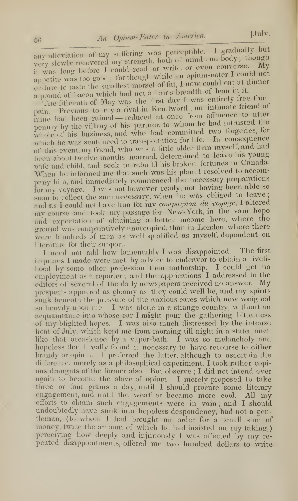any alleviation of my suffering was perceptible. I gradually but<br>very slowly recovered my strength, both of mind and body; though<br>it was long before I could read or write, or even converse. My very slowly recovered my strength, both of mind and body; though appetite was too good; for though while an opium-eater I could not ppetite was too good; for mough will all optime and that at dinner<br>endure to taste the smallest morsel of fat, I now could eat at dinner a pound of bacon which had not a hair's breadth of lean in it.<br>a pound of bacon which had not a hair's breadth of lean in it.

 $\frac{m}{\pi}$  is not to the matrix of May was the first day I was entirely free from pain. Previous to my arrival in Kenilworth, an intimate friend of mine had been ruined-reduced at once from affluence to utter penury by the villany of bis partner, to whom be bad intrusted the whole of his business, and who had committed two forgeries, for which be was sentenced to transportation for life. In consequence of this event, my friend, who was a little older than myself, and had been about twelve months married, determined to leave his young wife and child, and seek to rebuild his broken fortunes in Canada. When he informed me that such was his plan, I resolved to accompany him, and immediately commenced the necessary preparations for my voyage. I was not however ready, not having been able so soon to collect the sum necessary, when he was obliged to leave; and as I could not have him for my compagnon du voyage, I altered my course and took my passage for New-York, in the vain hope and expectation of obtaining <sup>a</sup> better income here, where the ground was comparatively unoccupied, than in London, where there were hundreds of men as well qualified as myself, dependent on literature for their support.

<sup>I</sup> need not add how lamentably <sup>I</sup> was disappointed. The first inquiries <sup>I</sup> made were met by advice to endeavor to obtain a liveli hood by some other profession than authorship. <sup>I</sup> could get no employment as <sup>a</sup> reporter; and the applications <sup>I</sup> addressed to the editors of several of ihc daily newspapers received no answer. My prospects appeared as gloomy as they could well be, and my spirits sunk beneath the pressure of the anxious cares which now weighed so heavily upon me. I was alone in a strange country, without an acquaintance into whose ear <sup>I</sup> might pour the gathering bitterness of my blighted hopes. <sup>I</sup> was also much distressed hy the intense heat of July, which kept me from morning till night in a state much like that occasioned by a vapor-bath. <sup>I</sup> was so melancholy and hopeless that <sup>I</sup> really found it necessary to have recourse to either brandy or opium. <sup>I</sup> preferred the latter, although to ascertain the difference, merely as a philosophical experiment, <sup>I</sup> took rather copi ous draughts of the former also. But observe ; <sup>I</sup> did not intend ever again to become the slave of opium. <sup>I</sup> merely proposed to take three or four grains a day, until I should procure some literary engagement, and until the weather became more cool. All my efforts to obtain such engagements were in vain; and I should undoubtedly have sunk into hopeless despondency, had not a gentleman, (to whom <sup>I</sup> had brought an order for <sup>a</sup> small sum of money, twice the amount of which he had insisted on my taking,) perceiving how deeply and injuriously I was affected by my repeated disappointments, offered me two hundred dollars to write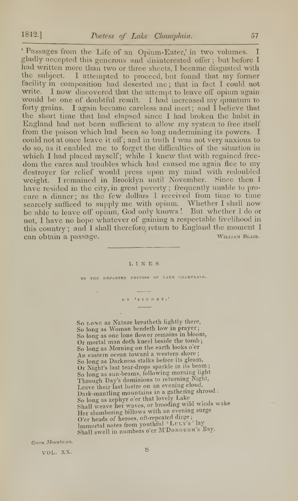' Passages from the Life of an Opium-Eater,' in two volumes. <sup>I</sup> gladly accepted this generous and disinterested offer; but before <sup>I</sup> had written more than two or three sheets, <sup>I</sup> became disgusted with the subject. <sup>I</sup> attempted to proceed, but found that my former facility in composition had deserted me ; that in fact <sup>I</sup> could not write. I now discovered that the attempt to leave off opium again would be one of doubtful result. <sup>I</sup> had increased my quantum to forty grains. I again became careless and inert; and I believe that the short time that had elapsed since <sup>I</sup> had broken the habit in England had not been sufficient to allow my system to free itself from the poison which had been so long undermining its powers. I could not at once leave it off; and in truth <sup>I</sup> was not very anxious to do so, as it enabled me to forget the difficulties of the situation in which I had placed myself; while I knew that with regained freedom the cares and troubles which had caused me again flee to my destroyer for relief would press upon my mind with redoubled weight. <sup>I</sup> remained in Brooklyn until November. Since then <sup>I</sup> have resided in the city, in great poverty ; frequently unable to pro cure a dinner; as the few dollars <sup>I</sup> received from time to time searcely sufficed to supply me with opium. Whether I shall now be able to leave off opium, God only knows ! But whether <sup>I</sup> do or not, <sup>I</sup> have no hope whatever of gaining a respectable livelihood in this country ; and <sup>I</sup> shall therefore return to England the moment <sup>I</sup> can obtain a passage. WILLIAM BLAIR.

## LINES

TO TRE DEPARTED POSTESS OF LAKE CHAMFLAIN.

 $\begin{smallmatrix}&&4\\B&\overline{Y}&&&\overline{Y}&\overline{Y}&\overline{Y}&\overline{Y}&\overline{Y}&\overline{Y}&\overline{Y}&\overline{Y}&&\end{smallmatrix}$ 

So long as Nature breatheth lightly there, So long as Woman bendeth low in prayer So long as one lone flower remains in bloom, Or mortal man doth kneel beside the tomb;<br>So long as Morning on the earth looks o'er An eastern ocean toward a western shore; So long as Darkness stalks before its gleam, Or Night's last tear-drops sparkle in its beam So long as sun-beams, following morning light Through Day's dominions to returning Night, Leave their last lustre on an evening cloud, Dark-mantling mountains in <sup>a</sup> gathering shroud : So long as zephyr o'er that lovely Lake Shall weave her waves, or brooding wild winds wake Her slumbering billows with an evening surge  $\overline{O}$ 'er heads of heroes, oft-repeated dirge ;<br>Immortal notes from youthful 'Luny's lay Shall swell in numbers o'er M'Donough's Bay.

Green Mountains.

VOL. XX.

8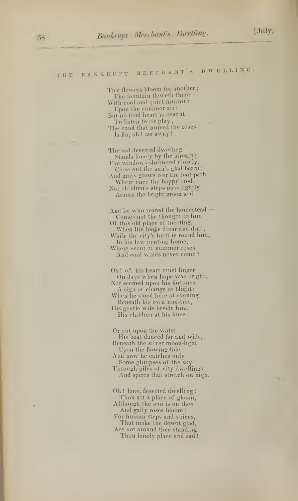## THE BANKRUPT MERCHANT'S DWELLING.

THE flowers bloom for another; The fountain floweth there With cool and quiet murmur

Upon the summer air: But no fond heart is near it To listen to its play:

The hand that nursed the roses Is far, oh! far away !

The sad deserted dwelling Stands lonely by the stream; The windows shuttered closely, Close out the sun's glad beam And grass grows o'er the foot-path

Where once the happy trod,

Nor children's steps pass lightly Across the bright green sod.

And he who reared the homestead — Comes not the thought to him Of this old place of meeting,<br>When life looks drear and dim;

While the city's bum is round him, In bis low pent-up home,

Where seent of summer roses And cool winds never come?

(Oh! oft his heart must linger On days when hope was bright, Nor scemed upon his fortunes

A sign of change or blight; When he stood here at evening

Beneath his own roof-tree, His gentle wife beside bim,

His children at his knee :

Or out upon the water His boat danced far and wide, Beneath the silver moon-light

Upon the flowing tide. And now he catches only

Some glimpses of the sky Through piles of city dwellings And spires that stretch on high.

Oh! lone, deserted dwelling! Thou art a place of gloom, Although the sun is on thee

And gaily roses bloom : For human steps and voices,

That make the desert glad, Are not around thee standing,

Thou lonely place and sad !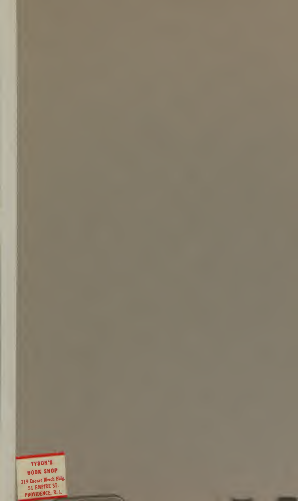